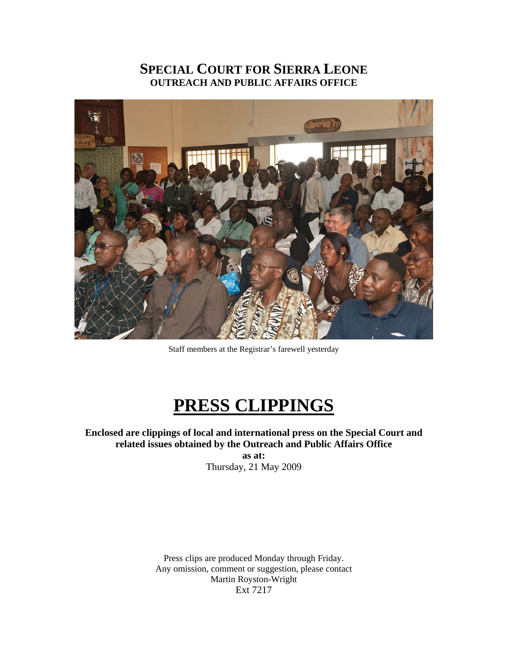# **SPECIAL COURT FOR SIERRA LEONE OUTREACH AND PUBLIC AFFAIRS OFFICE**



Staff members at the Registrar's farewell yesterday

# **PRESS CLIPPINGS**

**Enclosed are clippings of local and international press on the Special Court and related issues obtained by the Outreach and Public Affairs Office** 

> **as at:**  Thursday, 21 May 2009

Press clips are produced Monday through Friday. Any omission, comment or suggestion, please contact Martin Royston-Wright Ext 7217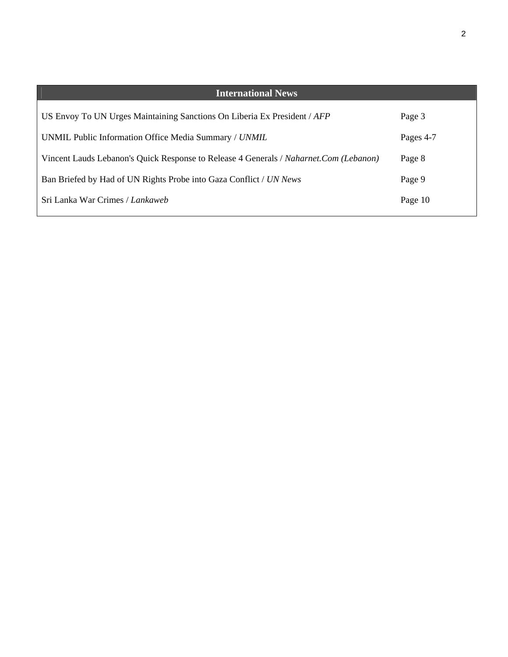| <b>International News</b>                                                             |           |
|---------------------------------------------------------------------------------------|-----------|
| US Envoy To UN Urges Maintaining Sanctions On Liberia Ex President / AFP              | Page 3    |
| UNMIL Public Information Office Media Summary / UNMIL                                 | Pages 4-7 |
| Vincent Lauds Lebanon's Quick Response to Release 4 Generals / Naharnet.Com (Lebanon) | Page 8    |
| Ban Briefed by Had of UN Rights Probe into Gaza Conflict / UN News                    | Page 9    |
| Sri Lanka War Crimes / Lankaweb                                                       | Page 10   |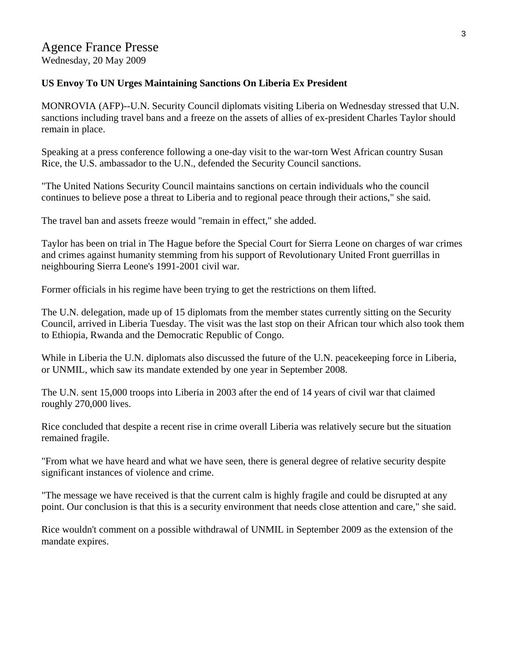### **US Envoy To UN Urges Maintaining Sanctions On Liberia Ex President**

MONROVIA (AFP)--U.N. Security Council diplomats visiting Liberia on Wednesday stressed that U.N. sanctions including travel bans and a freeze on the assets of allies of ex-president Charles Taylor should remain in place.

Speaking at a press conference following a one-day visit to the war-torn West African country Susan Rice, the U.S. ambassador to the U.N., defended the Security Council sanctions.

"The United Nations Security Council maintains sanctions on certain individuals who the council continues to believe pose a threat to Liberia and to regional peace through their actions," she said.

The travel ban and assets freeze would "remain in effect," she added.

Taylor has been on trial in The Hague before the Special Court for Sierra Leone on charges of war crimes and crimes against humanity stemming from his support of Revolutionary United Front guerrillas in neighbouring Sierra Leone's 1991-2001 civil war.

Former officials in his regime have been trying to get the restrictions on them lifted.

The U.N. delegation, made up of 15 diplomats from the member states currently sitting on the Security Council, arrived in Liberia Tuesday. The visit was the last stop on their African tour which also took them to Ethiopia, Rwanda and the Democratic Republic of Congo.

While in Liberia the U.N. diplomats also discussed the future of the U.N. peacekeeping force in Liberia, or UNMIL, which saw its mandate extended by one year in September 2008.

The U.N. sent 15,000 troops into Liberia in 2003 after the end of 14 years of civil war that claimed roughly 270,000 lives.

Rice concluded that despite a recent rise in crime overall Liberia was relatively secure but the situation remained fragile.

"From what we have heard and what we have seen, there is general degree of relative security despite significant instances of violence and crime.

"The message we have received is that the current calm is highly fragile and could be disrupted at any point. Our conclusion is that this is a security environment that needs close attention and care," she said.

Rice wouldn't comment on a possible withdrawal of UNMIL in September 2009 as the extension of the mandate expires.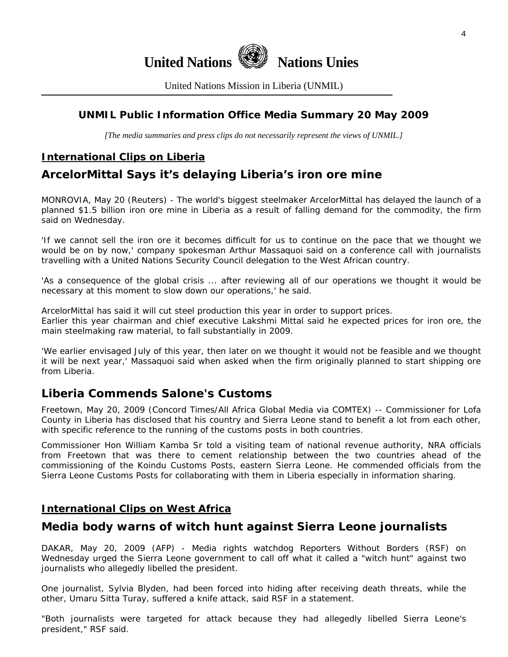

United Nations Mission in Liberia (UNMIL)

# **UNMIL Public Information Office Media Summary 20 May 2009**

*[The media summaries and press clips do not necessarily represent the views of UNMIL.]* 

# **International Clips on Liberia**

# **ArcelorMittal Says it's delaying Liberia's iron ore mine**

MONROVIA, May 20 (Reuters) - The world's biggest steelmaker ArcelorMittal has delayed the launch of a planned \$1.5 billion iron ore mine in Liberia as a result of falling demand for the commodity, the firm said on Wednesday.

'If we cannot sell the iron ore it becomes difficult for us to continue on the pace that we thought we would be on by now,' company spokesman Arthur Massaquoi said on a conference call with journalists travelling with a United Nations Security Council delegation to the West African country.

'As a consequence of the global crisis ... after reviewing all of our operations we thought it would be necessary at this moment to slow down our operations,' he said.

ArcelorMittal has said it will cut steel production this year in order to support prices.

Earlier this year chairman and chief executive Lakshmi Mittal said he expected prices for iron ore, the main steelmaking raw material, to fall substantially in 2009.

'We earlier envisaged July of this year, then later on we thought it would not be feasible and we thought it will be next year,' Massaquoi said when asked when the firm originally planned to start shipping ore from Liberia.

# **Liberia Commends Salone's Customs**

Freetown, May 20, 2009 (Concord Times/All Africa Global Media via COMTEX) -- Commissioner for Lofa County in Liberia has disclosed that his country and Sierra Leone stand to benefit a lot from each other, with specific reference to the running of the customs posts in both countries.

Commissioner Hon William Kamba Sr told a visiting team of national revenue authority, NRA officials from Freetown that was there to cement relationship between the two countries ahead of the commissioning of the Koindu Customs Posts, eastern Sierra Leone. He commended officials from the Sierra Leone Customs Posts for collaborating with them in Liberia especially in information sharing.

### **International Clips on West Africa**

# **Media body warns of witch hunt against Sierra Leone journalists**

DAKAR, May 20, 2009 (AFP) - Media rights watchdog Reporters Without Borders (RSF) on Wednesday urged the Sierra Leone government to call off what it called a "witch hunt" against two journalists who allegedly libelled the president.

One journalist, Sylvia Blyden, had been forced into hiding after receiving death threats, while the other, Umaru Sitta Turay, suffered a knife attack, said RSF in a statement.

"Both journalists were targeted for attack because they had allegedly libelled Sierra Leone's president," RSF said.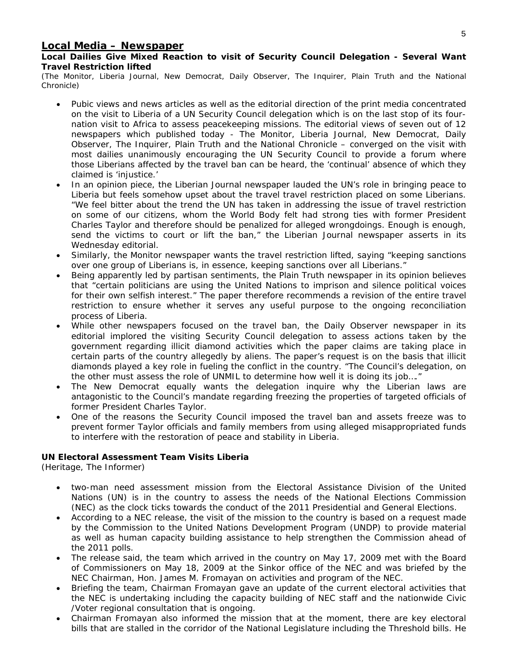#### **Local Media – Newspaper**

**Local Dailies Give Mixed Reaction to visit of Security Council Delegation - Several Want Travel Restriction lifted** 

(The Monitor, Liberia Journal, New Democrat, Daily Observer, The Inquirer, Plain Truth and the National Chronicle)

- Pubic views and news articles as well as the editorial direction of the print media concentrated on the visit to Liberia of a UN Security Council delegation which is on the last stop of its fournation visit to Africa to assess peacekeeping missions. The editorial views of seven out of 12 newspapers which published today - The Monitor, Liberia Journal, New Democrat, Daily Observer, The Inquirer, Plain Truth and the National Chronicle – converged on the visit with most dailies unanimously encouraging the UN Security Council to provide a forum where those Liberians affected by the travel ban can be heard, the 'continual' absence of which they claimed is 'injustice.'
- In an opinion piece, the Liberian Journal newspaper lauded the UN's role in bringing peace to Liberia but feels somehow upset about the travel travel restriction placed on some Liberians. "We feel bitter about the trend the UN has taken in addressing the issue of travel restriction on some of our citizens, whom the World Body felt had strong ties with former President Charles Taylor and therefore should be penalized for alleged wrongdoings. Enough is enough, send the victims to court or lift the ban," the Liberian Journal newspaper asserts in its Wednesday editorial.
- Similarly, the Monitor newspaper wants the travel restriction lifted, saying "keeping sanctions over one group of Liberians is, in essence, keeping sanctions over all Liberians."
- Being apparently led by partisan sentiments, the Plain Truth newspaper in its opinion believes that "certain politicians are using the United Nations to imprison and silence political voices for their own selfish interest." The paper therefore recommends a revision of the entire travel restriction to ensure whether it serves any useful purpose to the ongoing reconciliation process of Liberia.
- While other newspapers focused on the travel ban, the Daily Observer newspaper in its editorial implored the visiting Security Council delegation to assess actions taken by the government regarding illicit diamond activities which the paper claims are taking place in certain parts of the country allegedly by aliens. The paper's request is on the basis that illicit diamonds played a key role in fueling the conflict in the country. "The Council's delegation, on the other must assess the role of UNMIL to determine how well it is doing its job…."
- The New Democrat equally wants the delegation inquire why the Liberian laws are antagonistic to the Council's mandate regarding freezing the properties of targeted officials of former President Charles Taylor.
- One of the reasons the Security Council imposed the travel ban and assets freeze was to prevent former Taylor officials and family members from using alleged misappropriated funds to interfere with the restoration of peace and stability in Liberia.

#### **UN Electoral Assessment Team Visits Liberia**

(Heritage, The Informer)

- two-man need assessment mission from the Electoral Assistance Division of the United Nations (UN) is in the country to assess the needs of the National Elections Commission (NEC) as the clock ticks towards the conduct of the 2011 Presidential and General Elections.
- According to a NEC release, the visit of the mission to the country is based on a request made by the Commission to the United Nations Development Program (UNDP) to provide material as well as human capacity building assistance to help strengthen the Commission ahead of the 2011 polls.
- The release said, the team which arrived in the country on May 17, 2009 met with the Board of Commissioners on May 18, 2009 at the Sinkor office of the NEC and was briefed by the NEC Chairman, Hon. James M. Fromayan on activities and program of the NEC.
- Briefing the team, Chairman Fromayan gave an update of the current electoral activities that the NEC is undertaking including the capacity building of NEC staff and the nationwide Civic /Voter regional consultation that is ongoing.
- Chairman Fromayan also informed the mission that at the moment, there are key electoral bills that are stalled in the corridor of the National Legislature including the Threshold bills. He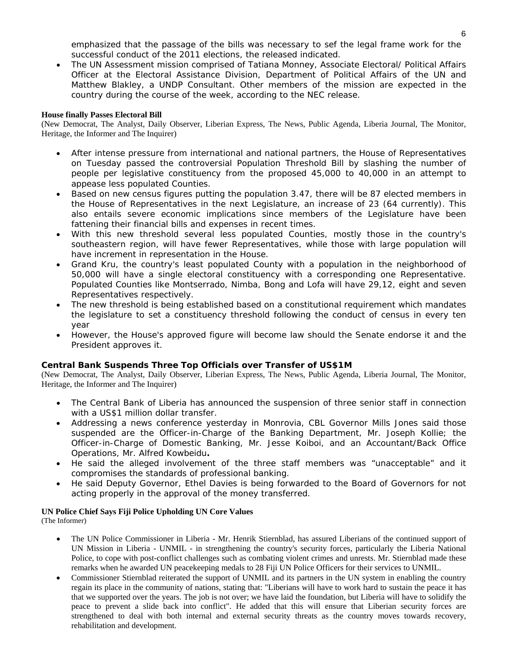emphasized that the passage of the bills was necessary to sef the legal frame work for the successful conduct of the 2011 elections, the released indicated.

• The UN Assessment mission comprised of Tatiana Monney, Associate Electoral/ Political Affairs Officer at the Electoral Assistance Division, Department of Political Affairs of the UN and Matthew Blakley, a UNDP Consultant. Other members of the mission are expected in the country during the course of the week, according to the NEC release.

#### **House finally Passes Electoral Bill**

(New Democrat, The Analyst, Daily Observer, Liberian Express, The News, Public Agenda, Liberia Journal, The Monitor, Heritage, the Informer and The Inquirer)

- After intense pressure from international and national partners, the House of Representatives on Tuesday passed the controversial Population Threshold Bill by slashing the number of people per legislative constituency from the proposed 45,000 to 40,000 in an attempt to appease less populated Counties.
- Based on new census figures putting the population 3.47, there will be 87 elected members in the House of Representatives in the next Legislature, an increase of 23 (64 currently). This also entails severe economic implications since members of the Legislature have been fattening their financial bills and expenses in recent times.
- With this new threshold several less populated Counties, mostly those in the country's southeastern region, will have fewer Representatives, while those with large population will have increment in representation in the House.
- Grand Kru, the country's least populated County with a population in the neighborhood of 50,000 will have a single electoral constituency with a corresponding one Representative. Populated Counties like Montserrado, Nimba, Bong and Lofa will have 29,12, eight and seven Representatives respectively.
- The new threshold is being established based on a constitutional requirement which mandates the legislature to set a constituency threshold following the conduct of census in every ten year
- However, the House's approved figure will become law should the Senate endorse it and the President approves it.

#### **Central Bank Suspends Three Top Officials over Transfer of US\$1M**

(New Democrat, The Analyst, Daily Observer, Liberian Express, The News, Public Agenda, Liberia Journal, The Monitor, Heritage, the Informer and The Inquirer)

- The Central Bank of Liberia has announced the suspension of three senior staff in connection with a US\$1 million dollar transfer.
- Addressing a news conference yesterday in Monrovia, CBL Governor Mills Jones said those suspended are the Officer-in-Charge of the Banking Department, Mr. Joseph Kollie; the Officer-in-Charge of Domestic Banking, Mr. Jesse Koiboi, and an Accountant/Back Office Operations, Mr. Alfred Kowbeidu**.**
- He said the alleged involvement of the three staff members was "unacceptable" and it compromises the standards of professional banking.
- He said Deputy Governor, Ethel Davies is being forwarded to the Board of Governors for not acting properly in the approval of the money transferred.

#### **UN Police Chief Says Fiji Police Upholding UN Core Values**

(The Informer)

- The UN Police Commissioner in Liberia Mr. Henrik Stiernblad, has assured Liberians of the continued support of UN Mission in Liberia - UNMIL - in strengthening the country's security forces, particularly the Liberia National Police, to cope with post-conflict challenges such as combating violent crimes and unrests. Mr. Stiernblad made these remarks when he awarded UN peacekeeping medals to 28 Fiji UN Police Officers for their services to UNMIL.
- Commissioner Stiernblad reiterated the support of UNMIL and its partners in the UN system in enabling the country regain its place in the community of nations, stating that: "Liberians will have to work hard to sustain the peace it has that we supported over the years. The job is not over; we have laid the foundation, but Liberia will have to solidify the peace to prevent a slide back into conflict". He added that this will ensure that Liberian security forces are strengthened to deal with both internal and external security threats as the country moves towards recovery, rehabilitation and development.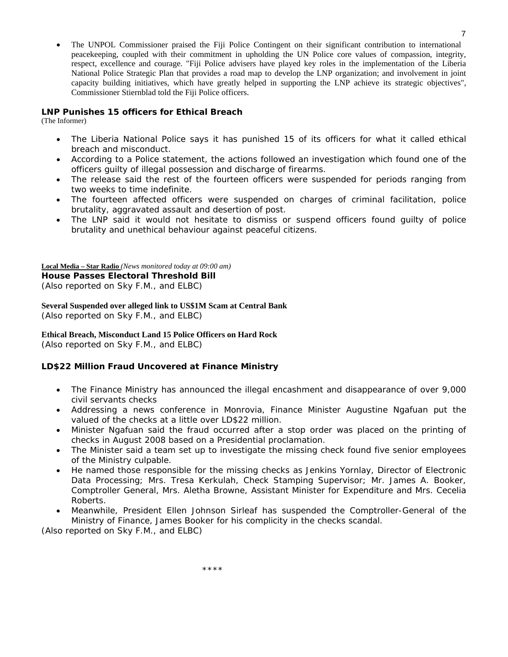• The UNPOL Commissioner praised the Fiji Police Contingent on their significant contribution to international peacekeeping, coupled with their commitment in upholding the UN Police core values of compassion, integrity, respect, excellence and courage. "Fiji Police advisers have played key roles in the implementation of the Liberia National Police Strategic Plan that provides a road map to develop the LNP organization; and involvement in joint capacity building initiatives, which have greatly helped in supporting the LNP achieve its strategic objectives", Commissioner Stiernblad told the Fiji Police officers.

#### **LNP Punishes 15 officers for Ethical Breach**

(The Informer)

- The Liberia National Police says it has punished 15 of its officers for what it called ethical breach and misconduct.
- According to a Police statement, the actions followed an investigation which found one of the officers guilty of illegal possession and discharge of firearms.
- The release said the rest of the fourteen officers were suspended for periods ranging from two weeks to time indefinite.
- The fourteen affected officers were suspended on charges of criminal facilitation, police brutality, aggravated assault and desertion of post.
- The LNP said it would not hesitate to dismiss or suspend officers found quilty of police brutality and unethical behaviour against peaceful citizens.

**Local Media – Star Radio** *(News monitored today at 09:00 am)*  **House Passes Electoral Threshold Bill**  (*Also reported on Sky F.M., and ELBC*)

**Several Suspended over alleged link to US\$1M Scam at Central Bank**  (*Also reported on Sky F.M., and ELBC*)

#### **Ethical Breach, Misconduct Land 15 Police Officers on Hard Rock**

(*Also reported on Sky F.M., and ELBC*)

#### **LD\$22 Million Fraud Uncovered at Finance Ministry**

- The Finance Ministry has announced the illegal encashment and disappearance of over 9,000 civil servants checks
- Addressing a news conference in Monrovia, Finance Minister Augustine Ngafuan put the valued of the checks at a little over LD\$22 million.
- Minister Ngafuan said the fraud occurred after a stop order was placed on the printing of checks in August 2008 based on a Presidential proclamation.
- The Minister said a team set up to investigate the missing check found five senior employees of the Ministry culpable.
- He named those responsible for the missing checks as Jenkins Yornlay, Director of Electronic Data Processing; Mrs. Tresa Kerkulah, Check Stamping Supervisor; Mr. James A. Booker, Comptroller General, Mrs. Aletha Browne, Assistant Minister for Expenditure and Mrs. Cecelia Roberts.
- Meanwhile, President Ellen Johnson Sirleaf has suspended the Comptroller-General of the Ministry of Finance, James Booker for his complicity in the checks scandal.

(*Also reported on Sky F.M., and ELBC*)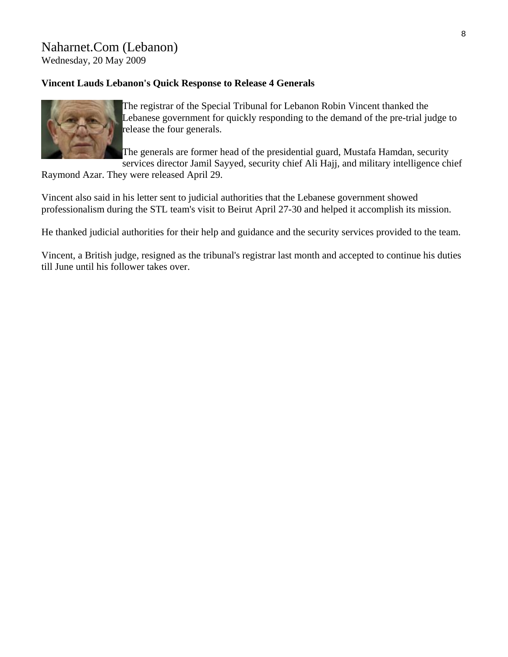# Naharnet.Com (Lebanon)

Wednesday, 20 May 2009

### **Vincent Lauds Lebanon's Quick Response to Release 4 Generals**



The registrar of the Special Tribunal for Lebanon Robin Vincent thanked the Lebanese government for quickly responding to the demand of the pre-trial judge to release the four generals.

The generals are former head of the presidential guard, Mustafa Hamdan, security services director Jamil Sayyed, security chief Ali Hajj, and military intelligence chief

Raymond Azar. They were released April 29.

Vincent also said in his letter sent to judicial authorities that the Lebanese government showed professionalism during the STL team's visit to Beirut April 27-30 and helped it accomplish its mission.

He thanked judicial authorities for their help and guidance and the security services provided to the team.

Vincent, a British judge, resigned as the tribunal's registrar last month and accepted to continue his duties till June until his follower takes over.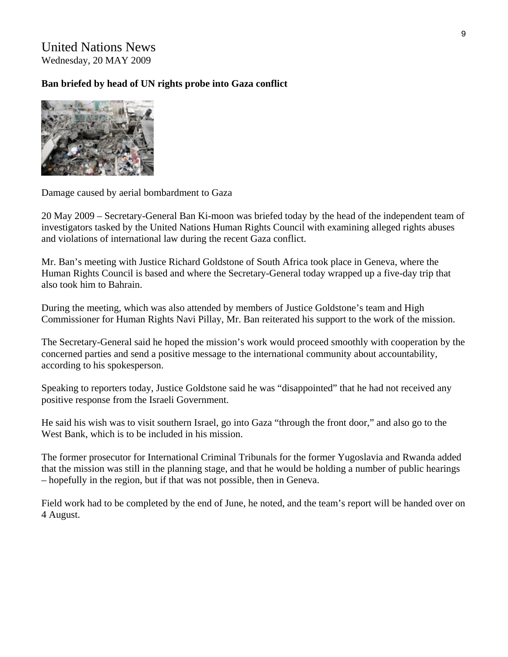United Nations News Wednesday, 20 MAY 2009

### **Ban briefed by head of UN rights probe into Gaza conflict**



Damage caused by aerial bombardment to Gaza

20 May 2009 – Secretary-General Ban Ki-moon was briefed today by the head of the independent team of investigators tasked by the United Nations Human Rights Council with examining alleged rights abuses and violations of international law during the recent Gaza conflict.

Mr. Ban's meeting with Justice Richard Goldstone of South Africa took place in Geneva, where the Human Rights Council is based and where the Secretary-General today wrapped up a five-day trip that also took him to Bahrain.

During the meeting, which was also attended by members of Justice Goldstone's team and High Commissioner for Human Rights Navi Pillay, Mr. Ban reiterated his support to the work of the mission.

The Secretary-General said he hoped the mission's work would proceed smoothly with cooperation by the concerned parties and send a positive message to the international community about accountability, according to his spokesperson.

Speaking to reporters today, Justice Goldstone said he was "disappointed" that he had not received any positive response from the Israeli Government.

He said his wish was to visit southern Israel, go into Gaza "through the front door," and also go to the West Bank, which is to be included in his mission.

The former prosecutor for International Criminal Tribunals for the former Yugoslavia and Rwanda added that the mission was still in the planning stage, and that he would be holding a number of public hearings – hopefully in the region, but if that was not possible, then in Geneva.

Field work had to be completed by the end of June, he noted, and the team's report will be handed over on 4 August.